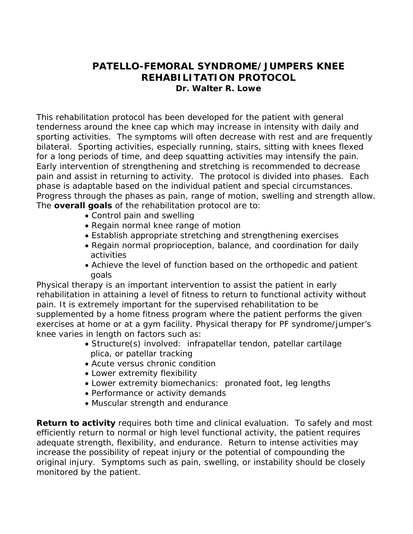# **PATELLO-FEMORAL SYNDROME/JUMPERS KNEE REHABILITATION PROTOCOL Dr. Walter R. Lowe**

This rehabilitation protocol has been developed for the patient with general tenderness around the knee cap which may increase in intensity with daily and sporting activities. The symptoms will often decrease with rest and are frequently bilateral. Sporting activities, especially running, stairs, sitting with knees flexed for a long periods of time, and deep squatting activities may intensify the pain. Early intervention of strengthening and stretching is recommended to decrease pain and assist in returning to activity. The protocol is divided into phases. Each phase is adaptable based on the individual patient and special circumstances. Progress through the phases as pain, range of motion, swelling and strength allow. The **overall goals** of the rehabilitation protocol are to:

- Control pain and swelling
- Regain normal knee range of motion
- Establish appropriate stretching and strengthening exercises
- Regain normal proprioception, balance, and coordination for daily activities
- Achieve the level of function based on the orthopedic and patient goals

Physical therapy is an important intervention to assist the patient in early rehabilitation in attaining a level of fitness to return to functional activity without pain. It is extremely important for the supervised rehabilitation to be supplemented by a home fitness program where the patient performs the given exercises at home or at a gym facility. Physical therapy for PF syndrome/jumper's knee varies in length on factors such as:

- Structure(s) involved: infrapatellar tendon, patellar cartilage plica, or patellar tracking
- Acute versus chronic condition
- Lower extremity flexibility
- Lower extremity biomechanics: pronated foot, leg lengths
- Performance or activity demands
- Muscular strength and endurance

**Return to activity** requires both time and clinical evaluation. To safely and most efficiently return to normal or high level functional activity, the patient requires adequate strength, flexibility, and endurance. Return to intense activities may increase the possibility of repeat injury or the potential of compounding the original injury. Symptoms such as pain, swelling, or instability should be closely monitored by the patient.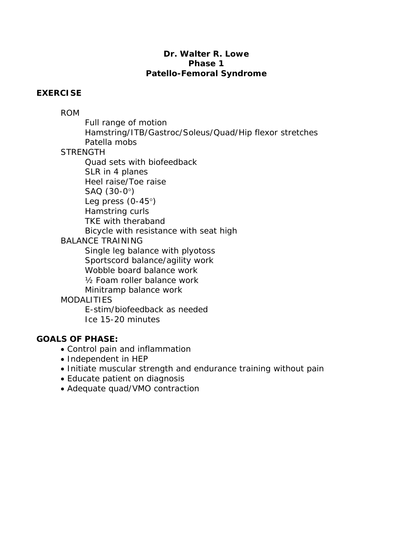## **Dr. Walter R. Lowe Phase 1 Patello-Femoral Syndrome**

## **EXERCISE**

# ROM

Full range of motion

 Hamstring/ITB/Gastroc/Soleus/Quad/Hip flexor stretches Patella mobs

# **STRENGTH**

Quad sets with biofeedback

SLR in 4 planes

Heel raise/Toe raise

SAQ (30-0°)

Leg press (0-45°)

Hamstring curls

TKE with theraband

Bicycle with resistance with seat high

# BALANCE TRAINING

 Single leg balance with plyotoss Sportscord balance/agility work Wobble board balance work ½ Foam roller balance work

Minitramp balance work

# **MODALITIES**

 E-stim/biofeedback as needed Ice 15-20 minutes

# **GOALS OF PHASE:**

- Control pain and inflammation
- Independent in HEP
- Initiate muscular strength and endurance training without pain
- Educate patient on diagnosis
- Adequate quad/VMO contraction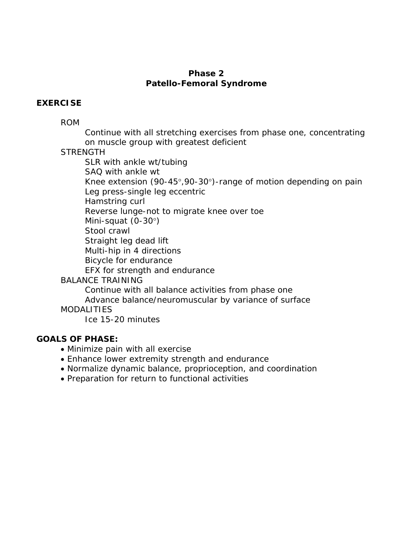### **Phase 2 Patello-Femoral Syndrome**

### **EXERCISE**

ROM

 Continue with all stretching exercises from phase one, concentrating on muscle group with greatest deficient

**STRENGTH** 

SLR with ankle wt/tubing

SAQ with ankle wt

 Knee extension (90-45°,90-30°)-range of motion depending on pain Leg press-single leg eccentric

Hamstring curl

Reverse lunge-not to migrate knee over toe

Mini-squat (0-30°)

Stool crawl

Straight leg dead lift

Multi-hip in 4 directions

Bicycle for endurance

EFX for strength and endurance

#### BALANCE TRAINING

Continue with all balance activities from phase one

Advance balance/neuromuscular by variance of surface

**MODALITIES** 

Ice 15-20 minutes

## **GOALS OF PHASE:**

- Minimize pain with all exercise
- Enhance lower extremity strength and endurance
- Normalize dynamic balance, proprioception, and coordination
- Preparation for return to functional activities